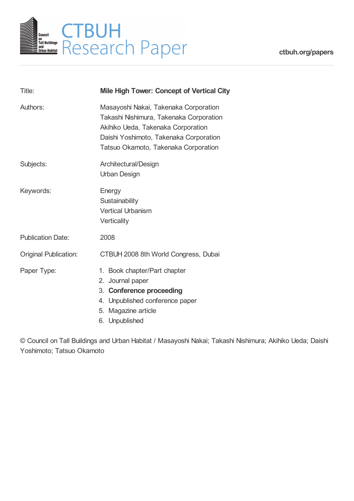

| Title:                       | <b>Mile High Tower: Concept of Vertical City</b>                                                                                                                                                         |
|------------------------------|----------------------------------------------------------------------------------------------------------------------------------------------------------------------------------------------------------|
| Authors:                     | Masayoshi Nakai, Takenaka Corporation<br>Takashi Nishimura, Takenaka Corporation<br>Akihiko Ueda, Takenaka Corporation<br>Daishi Yoshimoto, Takenaka Corporation<br>Tatsuo Okamoto, Takenaka Corporation |
| Subjects:                    | Architectural/Design<br>Urban Design                                                                                                                                                                     |
| Keywords:                    | Energy<br>Sustainability<br><b>Vertical Urbanism</b><br>Verticality                                                                                                                                      |
| <b>Publication Date:</b>     | 2008                                                                                                                                                                                                     |
| <b>Original Publication:</b> | CTBUH 2008 8th World Congress, Dubai                                                                                                                                                                     |
| Paper Type:                  | 1. Book chapter/Part chapter<br>2. Journal paper<br>3. Conference proceeding<br>4. Unpublished conference paper<br>5. Magazine article<br>6. Unpublished                                                 |

© Council on Tall Buildings and Urban Habitat / Masayoshi Nakai; Takashi Nishimura; Akihiko Ueda; Daishi Yoshimoto; Tatsuo Okamoto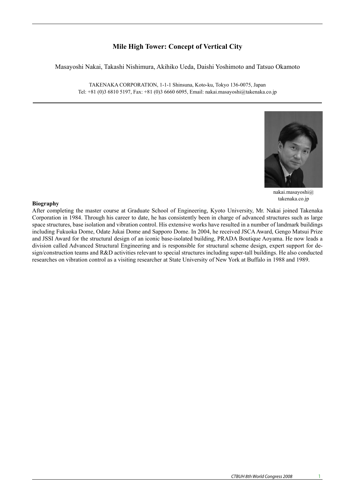# **Mile High Tower: Concept of Vertical City**

Masayoshi Nakai, Takashi Nishimura, Akihiko Ueda, Daishi Yoshimoto and Tatsuo Okamoto

TAKENAKA CORPORATION, 1-1-1 Shinsuna, Koto-ku, Tokyo 136-0075, Japan Tel: +81 (0)3 6810 5197, Fax: +81 (0)3 6660 6095, Email: nakai.masayoshi@takenaka.co.jp



nakai.masayoshi@ takenaka.co.jp

# **Biography**

After completing the master course at Graduate School of Engineering, Kyoto University, Mr. Nakai joined Takenaka Corporation in 1984. Through his career to date, he has consistently been in charge of advanced structures such as large space structures, base isolation and vibration control. His extensive works have resulted in a number of landmark buildings including Fukuoka Dome, Odate Jukai Dome and Sapporo Dome. In 2004, he received JSCA Award, Gengo Matsui Prize and JSSI Award for the structural design of an iconic base-isolated building, PRADA Boutique Aoyama. He now leads a division called Advanced Structural Engineering and is responsible for structural scheme design, expert support for design/construction teams and R&D activities relevant to special structures including super-tall buildings. He also conducted researches on vibration control as a visiting researcher at State University of New York at Buffalo in 1988 and 1989.  $\mathcal{L}$ for consideration was set in the Middle East where an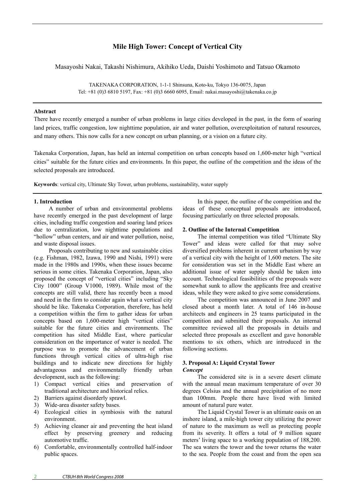# **Mile High Tower: Concept of Vertical City**

Masayoshi Nakai, Takashi Nishimura, Akihiko Ueda, Daishi Yoshimoto and Tatsuo Okamoto

TAKENAKA CORPORATION, 1-1-1 Shinsuna, Koto-ku, Tokyo 136-0075, Japan Tel: +81 (0)3 6810 5197, Fax: +81 (0)3 6660 6095, Email: nakai.masayoshi@takenaka.co.jp

#### **Abstract**

There have recently emerged a number of urban problems in large cities developed in the past, in the form of soaring land prices, traffic congestion, low nighttime population, air and water pollution, overexploitation of natural resources, and many others. This now calls for a new concept on urban planning, or a vision on a future city.

Takenaka Corporation, Japan, has held an internal competition on urban concepts based on 1,600-meter high "vertical cities" suitable for the future cities and environments. In this paper, the outline of the competition and the ideas of the selected proposals are introduced.

**Keywords**: vertical city, Ultimate Sky Tower, urban problems, sustainability, water supply

### **1. Introduction**

A number of urban and environmental problems have recently emerged in the past development of large cities, including traffic congestion and soaring land prices due to centralization, low nighttime populations and "hollow" urban centers, and air and water pollution, noise, and waste disposal issues.

Proposals contributing to new and sustainable cities (e.g. Fishman, 1982, Izawa, 1990 and Nishi, 1991) were made in the 1980s and 1990s, when these issues became serious in some cities. Takenaka Corporation, Japan, also proposed the concept of "vertical cities" including "Sky City 1000" (Group V1000, 1989). While most of the concepts are still valid, there has recently been a mood and need in the firm to consider again what a vertical city should be like. Takenaka Corporation, therefore, has held a competition within the firm to gather ideas for urban concepts based on 1,600-meter high "vertical cities" suitable for the future cities and environments. The competition has sited Middle East, where particular consideration on the importance of water is needed. The purpose was to promote the advancement of urban functions through vertical cities of ultra-high rise buildings and to indicate new directions for highly advantageous and environmentally friendly urban development, such as the following:

- 1) Compact vertical cities and preservation of traditional architecture and historical relics.
- 2) Barriers against disorderly sprawl.
- 3) Wide-area disaster safety bases.
- 4) Ecological cities in symbiosis with the natural environment.
- 5) Achieving cleaner air and preventing the heat island effect by preserving greenery and reducing automotive traffic.
- 6) Comfortable, environmentally controlled half-indoor public spaces.

In this paper, the outline of the competition and the ideas of these conceptual proposals are introduced, focusing particularly on three selected proposals.

#### **2. Outline of the Internal Competition**

The internal competition was titled "Ultimate Sky Tower" and ideas were called for that may solve diversified problems inherent in current urbanism by way of a vertical city with the height of 1,600 meters. The site for consideration was set in the Middle East where an additional issue of water supply should be taken into account. Technological feasibilities of the proposals were somewhat sunk to allow the applicants free and creative ideas, while they were asked to give some considerations.

The competition was announced in June 2007 and closed about a month later. A total of 146 in-house architects and engineers in 25 teams participated in the competition and submitted their proposals. An internal committee reviewed all the proposals in details and selected three proposals as excellent and gave honorable mentions to six others, which are introduced in the following sections.

# **3. Proposal A: Liquid Crystal Tower**  *Concept*

The considered site is in a severe desert climate with the annual mean maximum temperature of over 30 degrees Celsius and the annual precipitation of no more than 100mm. People there have lived with limited amount of natural pure water.

The Liquid Crystal Tower is an ultimate oasis on an inshore island, a mile-high tower city utilizing the power of nature to the maximum as well as protecting people from its severity. It offers a total of 9 million square meters' living space to a working population of 188,200. The sea waters the tower and the tower returns the water to the sea. People from the coast and from the open sea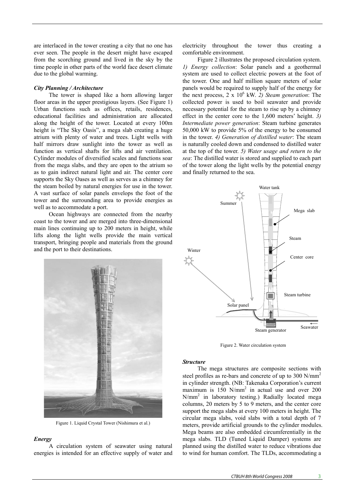are interlaced in the tower creating a city that no one has ever seen. The people in the desert might have escaped from the scorching ground and lived in the sky by the time people in other parts of the world face desert climate due to the global warming.

## *City Planning / Architecture*

The tower is shaped like a horn allowing larger floor areas in the upper prestigious layers. (See Figure 1) Urban functions such as offices, retails, residences, educational facilities and administration are allocated along the height of the tower. Located at every 100m height is "The Sky Oasis", a mega slab creating a huge atrium with plenty of water and trees. Light wells with half mirrors draw sunlight into the tower as well as function as vertical shafts for lifts and air ventilation. Cylinder modules of diversified scales and functions soar from the mega slabs, and they are open to the atrium so as to gain indirect natural light and air. The center core supports the Sky Oases as well as serves as a chimney for the steam boiled by natural energies for use in the tower. A vast surface of solar panels envelops the foot of the tower and the surrounding area to provide energies as well as to accommodate a port.

Ocean highways are connected from the nearby coast to the tower and are merged into three-dimensional main lines continuing up to 200 meters in height, while lifts along the light wells provide the main vertical transport, bringing people and materials from the ground and the port to their destinations.



Figure 1. Liquid Crystal Tower (Nishimura et al.)

# *Energy*

A circulation system of seawater using natural energies is intended for an effective supply of water and electricity throughout the tower thus creating a comfortable environment.

Figure 2 illustrates the proposed circulation system. *1) Energy collection*: Solar panels and a geothermal system are used to collect electric powers at the foot of the tower. One and half million square meters of solar panels would be required to supply half of the energy for the next process, 2 x 10<sup>6</sup> kW. 2) Steam generation: The collected power is used to boil seawater and provide necessary potential for the steam to rise up by a chimney effect in the center core to the 1,600 meters' height. *3) Intermediate power generation*: Steam turbine generates 50,000 kW to provide 5% of the energy to be consumed in the tower. *4) Generation of distilled water*: The steam is naturally cooled down and condensed to distilled water at the top of the tower. *5) Water usage and return to the sea*: The distilled water is stored and supplied to each part of the tower along the light wells by the potential energy and finally returned to the sea.



Figure 2. Water circulation system

### *Structure*

The mega structures are composite sections with steel profiles as re-bars and concrete of up to 300 N/mm<sup>2</sup> in cylinder strength. (NB: Takenaka Corporation's current maximum is  $150 \text{ N/mm}^2$  in actual use and over 200 N/mm2 in laboratory testing.) Radially located mega columns, 20 meters by 5 to 9 meters, and the center core support the mega slabs at every 100 meters in height. The circular mega slabs, void slabs with a total depth of 7 meters, provide artificial grounds to the cylinder modules. Mega beams are also embedded circumferentially in the mega slabs. TLD (Tuned Liquid Damper) systems are planned using the distilled water to reduce vibrations due to wind for human comfort. The TLDs, accommodating a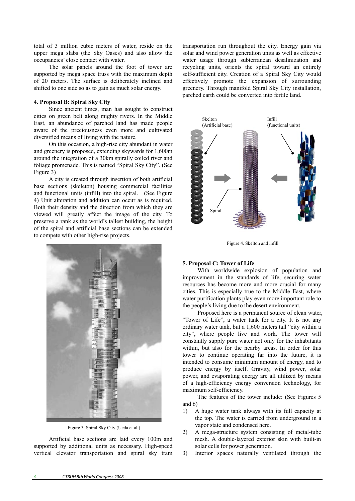total of 3 million cubic meters of water, reside on the upper mega slabs (the Sky Oases) and also allow the occupancies' close contact with water.

The solar panels around the foot of tower are supported by mega space truss with the maximum depth of 20 meters. The surface is deliberately inclined and shifted to one side so as to gain as much solar energy.

## **4. Proposal B: Spiral Sky City**

Since ancient times, man has sought to construct cities on green belt along mighty rivers. In the Middle East, an abundance of parched land has made people aware of the preciousness even more and cultivated diversified means of living with the nature.

On this occasion, a high-rise city abundant in water and greenery is proposed, extending skywards for 1,600m around the integration of a 30km spirally coiled river and foliage promenade. This is named "Spiral Sky City". (See Figure 3)

A city is created through insertion of both artificial base sections (skeleton) housing commercial facilities and functional units (infill) into the spiral. (See Figure 4) Unit alteration and addition can occur as is required. Both their density and the direction from which they are viewed will greatly affect the image of the city. To preserve a rank as the world's tallest building, the height of the spiral and artificial base sections can be extended to compete with other high-rise projects.



Figure 3. Spiral Sky City (Ueda et al.)

Artificial base sections are laid every 100m and supported by additional units as necessary. High-speed vertical elevator transportation and spiral sky tram transportation run throughout the city. Energy gain via solar and wind power generation units as well as effective water usage through subterranean desalinization and recycling units, orients the spiral toward an entirely self-sufficient city. Creation of a Spiral Sky City would effectively promote the expansion of surrounding greenery. Through manifold Spiral Sky City installation, parched earth could be converted into fertile land.



Figure 4. Skelton and infill

## **5. Proposal C: Tower of Life**

With worldwide explosion of population and improvement in the standards of life, securing water resources has become more and more crucial for many cities. This is especially true to the Middle East, where water purification plants play even more important role to the people's living due to the desert environment.

Proposed here is a permanent source of clean water, "Tower of Life", a water tank for a city. It is not any ordinary water tank, but a 1,600 meters tall "city within a city", where people live and work. The tower will constantly supply pure water not only for the inhabitants within, but also for the nearby areas. In order for this tower to continue operating far into the future, it is intended to consume minimum amount of energy, and to produce energy by itself. Gravity, wind power, solar power, and evaporating energy are all utilized by means of a high-efficiency energy conversion technology, for maximum self-efficiency.

The features of the tower include: (See Figures 5 and 6)

- 1) A huge water tank always with its full capacity at the top. The water is carried from underground in a vapor state and condensed here.
- 2) A mega-structure system consisting of metal-tube mesh. A double-layered exterior skin with built-in solar cells for power generation.
- 3) Interior spaces naturally ventilated through the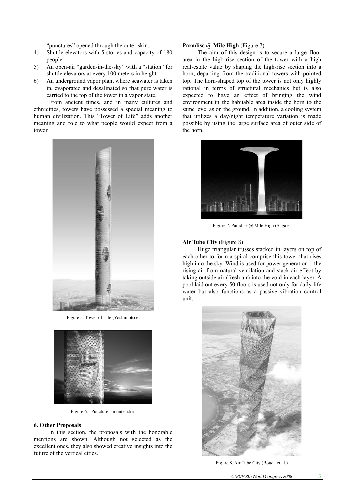"punctures" opened through the outer skin.

- 4) Shuttle elevators with 5 stories and capacity of 180 people.
- 5) An open-air "garden-in-the-sky" with a "station" for shuttle elevators at every 100 meters in height
- 6) An underground vapor plant where seawater is taken in, evaporated and desalinated so that pure water is carried to the top of the tower in a vapor state.

From ancient times, and in many cultures and ethnicities, towers have possessed a special meaning to human civilization. This "Tower of Life" adds another meaning and role to what people would expect from a tower.



Figure 5. Tower of Life (Yoshimoto et



Figure 6. "Puncture" in outer skin

### **6. Other Proposals**

In this section, the proposals with the honorable mentions are shown. Although not selected as the excellent ones, they also showed creative insights into the future of the vertical cities.

## **Paradise @ Mile High** (Figure 7)

The aim of this design is to secure a large floor area in the high-rise section of the tower with a high real-estate value by shaping the high-rise section into a horn, departing from the traditional towers with pointed top. The horn-shaped top of the tower is not only highly rational in terms of structural mechanics but is also expected to have an effect of bringing the wind environment in the habitable area inside the horn to the same level as on the ground. In addition, a cooling system that utilizes a day/night temperature variation is made possible by using the large surface area of outer side of the horn.



Figure 7. Paradise @ Mile High (Suga et

#### **Air Tube City** (Figure 8)

Huge triangular trusses stacked in layers on top of each other to form a spiral comprise this tower that rises high into the sky. Wind is used for power generation – the rising air from natural ventilation and stack air effect by taking outside air (fresh air) into the void in each layer. A pool laid out every 50 floors is used not only for daily life water but also functions as a passive vibration control unit.



Figure 8. Air Tube City (Bouda et al.)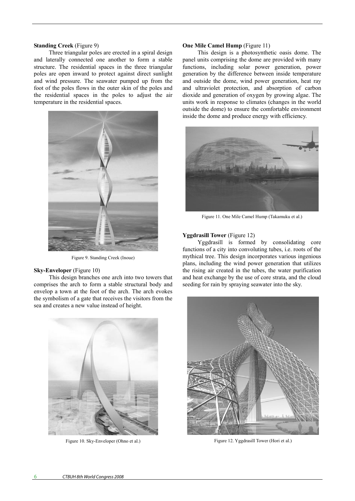#### **Standing Creek** (Figure 9)

Three triangular poles are erected in a spiral design and laterally connected one another to form a stable structure. The residential spaces in the three triangular poles are open inward to protect against direct sunlight and wind pressure. The seawater pumped up from the foot of the poles flows in the outer skin of the poles and the residential spaces in the poles to adjust the air temperature in the residential spaces.



Figure 9. Standing Creek (Inoue)

## **Sky-Enveloper** (Figure 10)

This design branches one arch into two towers that comprises the arch to form a stable structural body and envelop a town at the foot of the arch. The arch evokes the symbolism of a gate that receives the visitors from the sea and creates a new value instead of height.



Figure 10. Sky-Enveloper (Ohno et al.)

#### **One Mile Camel Hump** (Figure 11)

This design is a photosynthetic oasis dome. The panel units comprising the dome are provided with many functions, including solar power generation, power generation by the difference between inside temperature and outside the dome, wind power generation, heat ray and ultraviolet protection, and absorption of carbon dioxide and generation of oxygen by growing algae. The units work in response to climates (changes in the world outside the dome) to ensure the comfortable environment inside the dome and produce energy with efficiency.



Figure 11. One Mile Camel Hump (Takamuku et al.)

#### **Yggdrasill Tower** (Figure 12)

Yggdrasill is formed by consolidating core functions of a city into convoluting tubes, i.e. roots of the mythical tree. This design incorporates various ingenious plans, including the wind power generation that utilizes the rising air created in the tubes, the water purification and heat exchange by the use of core strata, and the cloud seeding for rain by spraying seawater into the sky.



Figure 12. Yggdrasill Tower (Hori et al.)